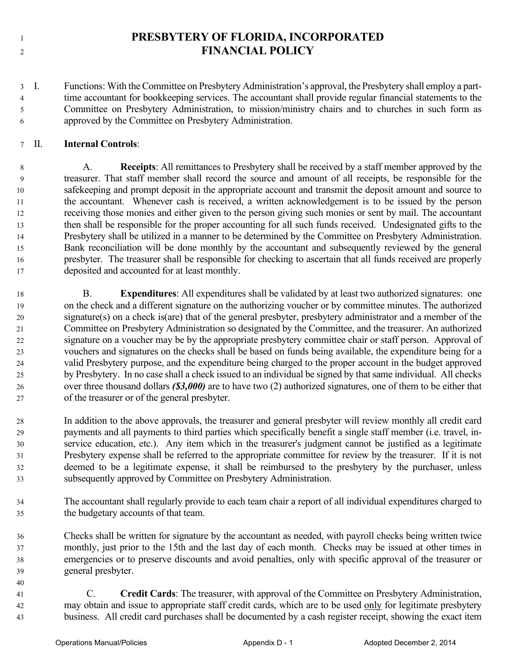- 
- **PRESBYTERY OF FLORIDA, INCORPORATED FINANCIAL POLICY**

 I. Functions: With the Committee on Presbytery Administration's approval, the Presbytery shall employ a part- time accountant for bookkeeping services. The accountant shall provide regular financial statements to the Committee on Presbytery Administration, to mission/ministry chairs and to churches in such form as approved by the Committee on Presbytery Administration.

## II. **Internal Controls**:

 A. **Receipts**: All remittances to Presbytery shall be received by a staff member approved by the treasurer. That staff member shall record the source and amount of all receipts, be responsible for the safekeeping and prompt deposit in the appropriate account and transmit the deposit amount and source to the accountant. Whenever cash is received, a written acknowledgement is to be issued by the person receiving those monies and either given to the person giving such monies or sent by mail. The accountant then shall be responsible for the proper accounting for all such funds received. Undesignated gifts to the Presbytery shall be utilized in a manner to be determined by the Committee on Presbytery Administration. Bank reconciliation will be done monthly by the accountant and subsequently reviewed by the general presbyter. The treasurer shall be responsible for checking to ascertain that all funds received are properly deposited and accounted for at least monthly.

- B. **Expenditures**: All expenditures shall be validated by at least two authorized signatures: one on the check and a different signature on the authorizing voucher or by committee minutes. The authorized signature(s) on a check is(are) that of the general presbyter, presbytery administrator and a member of the Committee on Presbytery Administration so designated by the Committee, and the treasurer. An authorized signature on a voucher may be by the appropriate presbytery committee chair or staff person. Approval of vouchers and signatures on the checks shall be based on funds being available, the expenditure being for a valid Presbytery purpose, and the expenditure being charged to the proper account in the budget approved by Presbytery. In no case shall a check issued to an individual be signed by that same individual. All checks over three thousand dollars *(\$3,000)* are to have two (2) authorized signatures, one of them to be either that of the treasurer or of the general presbyter.
- In addition to the above approvals, the treasurer and general presbyter will review monthly all credit card payments and all payments to third parties which specifically benefit a single staff member (i.e. travel, in- service education, etc.). Any item which in the treasurer's judgment cannot be justified as a legitimate Presbytery expense shall be referred to the appropriate committee for review by the treasurer. If it is not deemed to be a legitimate expense, it shall be reimbursed to the presbytery by the purchaser, unless subsequently approved by Committee on Presbytery Administration.
- The accountant shall regularly provide to each team chair a report of all individual expenditures charged to the budgetary accounts of that team.
- Checks shall be written for signature by the accountant as needed, with payroll checks being written twice monthly, just prior to the 15th and the last day of each month. Checks may be issued at other times in emergencies or to preserve discounts and avoid penalties, only with specific approval of the treasurer or general presbyter.
- C. **Credit Cards**: The treasurer, with approval of the Committee on Presbytery Administration, 42 may obtain and issue to appropriate staff credit cards, which are to be used only for legitimate presbytery business. All credit card purchases shall be documented by a cash register receipt, showing the exact item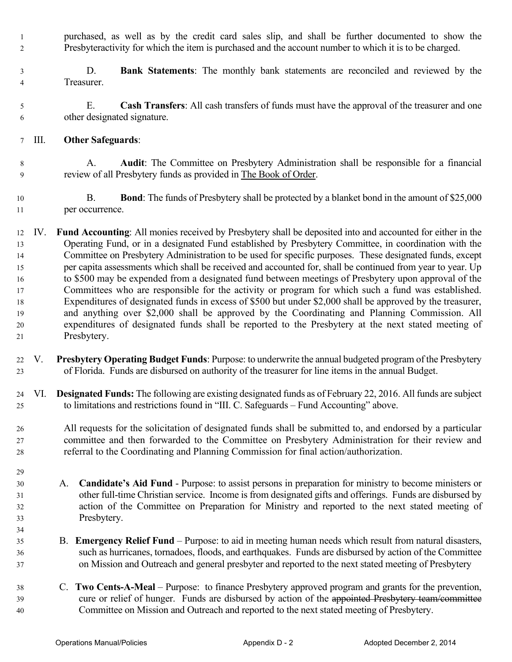purchased, as well as by the credit card sales slip, and shall be further documented to show the Presbyteractivity for which the item is purchased and the account number to which it is to be charged.

- D. **Bank Statements**: The monthly bank statements are reconciled and reviewed by the Treasurer.
- E. **Cash Transfers**: All cash transfers of funds must have the approval of the treasurer and one other designated signature.
- III. **Other Safeguards**:
- A. **Audit**: The Committee on Presbytery Administration shall be responsible for a financial review of all Presbytery funds as provided in The Book of Order.
- B. **Bond**: The funds of Presbytery shall be protected by a blanket bond in the amount of \$25,000 per occurrence.
- IV. **Fund Accounting**: All monies received by Presbytery shall be deposited into and accounted for either in the Operating Fund, or in a designated Fund established by Presbytery Committee, in coordination with the Committee on Presbytery Administration to be used for specific purposes. These designated funds, except per capita assessments which shall be received and accounted for, shall be continued from year to year. Up to \$500 may be expended from a designated fund between meetings of Presbytery upon approval of the Committees who are responsible for the activity or program for which such a fund was established. Expenditures of designated funds in excess of \$500 but under \$2,000 shall be approved by the treasurer, and anything over \$2,000 shall be approved by the Coordinating and Planning Commission. All expenditures of designated funds shall be reported to the Presbytery at the next stated meeting of Presbytery.
- V. **Presbytery Operating Budget Funds**: Purpose: to underwrite the annual budgeted program of the Presbytery of Florida. Funds are disbursed on authority of the treasurer for line items in the annual Budget.
- VI. **Designated Funds:** The following are existing designated funds as of February 22, 2016. All funds are subject to limitations and restrictions found in "III. C. Safeguards – Fund Accounting" above.
- All requests for the solicitation of designated funds shall be submitted to, and endorsed by a particular committee and then forwarded to the Committee on Presbytery Administration for their review and referral to the Coordinating and Planning Commission for final action/authorization.
- A. **Candidate's Aid Fund** Purpose: to assist persons in preparation for ministry to become ministers or other full-time Christian service. Income is from designated gifts and offerings. Funds are disbursed by action of the Committee on Preparation for Ministry and reported to the next stated meeting of Presbytery.
- B. **Emergency Relief Fund** Purpose: to aid in meeting human needs which result from natural disasters, such as hurricanes, tornadoes, floods, and earthquakes. Funds are disbursed by action of the Committee on Mission and Outreach and general presbyter and reported to the next stated meeting of Presbytery
- C. **Two Cents-A-Meal**  Purpose: to finance Presbytery approved program and grants for the prevention, 39 cure or relief of hunger. Funds are disbursed by action of the appointed Presbytery team/committee Committee on Mission and Outreach and reported to the next stated meeting of Presbytery.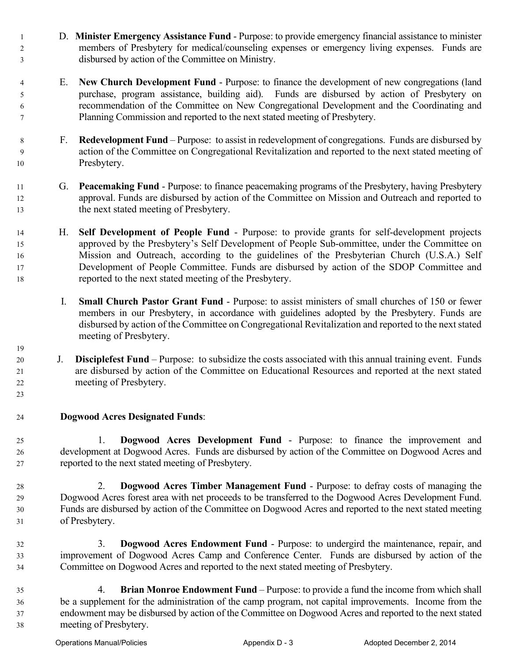- D. **Minister Emergency Assistance Fund** Purpose: to provide emergency financial assistance to minister members of Presbytery for medical/counseling expenses or emergency living expenses. Funds are disbursed by action of the Committee on Ministry.
- E. **New Church Development Fund** Purpose: to finance the development of new congregations (land purchase, program assistance, building aid). Funds are disbursed by action of Presbytery on recommendation of the Committee on New Congregational Development and the Coordinating and Planning Commission and reported to the next stated meeting of Presbytery.
- F. **Redevelopment Fund**  Purpose: to assist in redevelopment of congregations. Funds are disbursed by action of the Committee on Congregational Revitalization and reported to the next stated meeting of Presbytery.
- G. **Peacemaking Fund** Purpose: to finance peacemaking programs of the Presbytery, having Presbytery approval. Funds are disbursed by action of the Committee on Mission and Outreach and reported to the next stated meeting of Presbytery.
- H. **Self Development of People Fund** Purpose: to provide grants for self-development projects approved by the Presbytery's Self Development of People Sub-ommittee, under the Committee on Mission and Outreach, according to the guidelines of the Presbyterian Church (U.S.A.) Self Development of People Committee. Funds are disbursed by action of the SDOP Committee and reported to the next stated meeting of the Presbytery.
	- I. **Small Church Pastor Grant Fund** Purpose: to assist ministers of small churches of 150 or fewer members in our Presbytery, in accordance with guidelines adopted by the Presbytery. Funds are disbursed by action of the Committee on Congregational Revitalization and reported to the next stated meeting of Presbytery.
- J. **Disciplefest Fund**  Purpose: to subsidize the costs associated with this annual training event. Funds are disbursed by action of the Committee on Educational Resources and reported at the next stated meeting of Presbytery.
- **Dogwood Acres Designated Funds**:

 1. **Dogwood Acres Development Fund** - Purpose: to finance the improvement and development at Dogwood Acres. Funds are disbursed by action of the Committee on Dogwood Acres and reported to the next stated meeting of Presbytery.

- 2. **Dogwood Acres Timber Management Fund** Purpose: to defray costs of managing the Dogwood Acres forest area with net proceeds to be transferred to the Dogwood Acres Development Fund. Funds are disbursed by action of the Committee on Dogwood Acres and reported to the next stated meeting of Presbytery.
- 3. **Dogwood Acres Endowment Fund** Purpose: to undergird the maintenance, repair, and improvement of Dogwood Acres Camp and Conference Center. Funds are disbursed by action of the Committee on Dogwood Acres and reported to the next stated meeting of Presbytery.
- 4. **Brian Monroe Endowment Fund** Purpose: to provide a fund the income from which shall be a supplement for the administration of the camp program, not capital improvements. Income from the endowment may be disbursed by action of the Committee on Dogwood Acres and reported to the next stated meeting of Presbytery.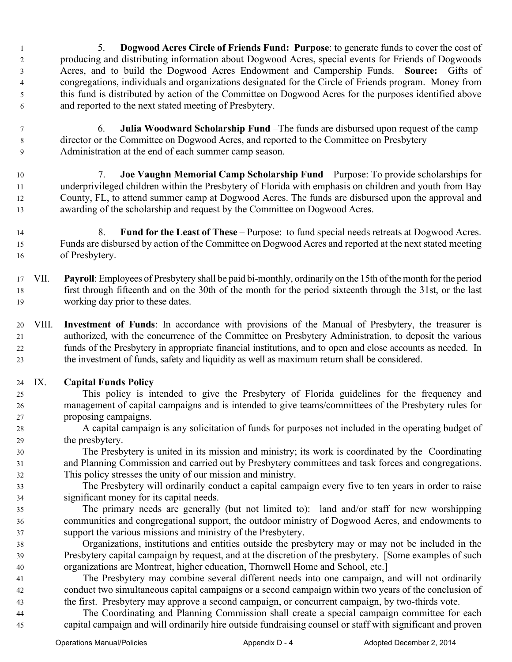- 5. **Dogwood Acres Circle of Friends Fund: Purpose**: to generate funds to cover the cost of producing and distributing information about Dogwood Acres, special events for Friends of Dogwoods Acres, and to build the Dogwood Acres Endowment and Campership Funds. **Source:** Gifts of congregations, individuals and organizations designated for the Circle of Friends program. Money from this fund is distributed by action of the Committee on Dogwood Acres for the purposes identified above and reported to the next stated meeting of Presbytery.
- 6. **Julia Woodward Scholarship Fund** –The funds are disbursed upon request of the camp director or the Committee on Dogwood Acres, and reported to the Committee on Presbytery Administration at the end of each summer camp season.

 7. **Joe Vaughn Memorial Camp Scholarship Fund** – Purpose: To provide scholarships for underprivileged children within the Presbytery of Florida with emphasis on children and youth from Bay County, FL, to attend summer camp at Dogwood Acres. The funds are disbursed upon the approval and awarding of the scholarship and request by the Committee on Dogwood Acres.

- 8. **Fund for the Least of These** Purpose: to fund special needs retreats at Dogwood Acres. Funds are disbursed by action of the Committee on Dogwood Acres and reported at the next stated meeting of Presbytery.
- VII. **Payroll**: Employees of Presbytery shall be paid bi-monthly, ordinarily on the 15th of the month for the period first through fifteenth and on the 30th of the month for the period sixteenth through the 31st, or the last working day prior to these dates.
- VIII. **Investment of Funds**: In accordance with provisions of the Manual of Presbytery, the treasurer is authorized, with the concurrence of the Committee on Presbytery Administration, to deposit the various funds of the Presbytery in appropriate financial institutions, and to open and close accounts as needed. In the investment of funds, safety and liquidity as well as maximum return shall be considered.
- IX. **Capital Funds Policy**
- This policy is intended to give the Presbytery of Florida guidelines for the frequency and management of capital campaigns and is intended to give teams/committees of the Presbytery rules for proposing campaigns.
- A capital campaign is any solicitation of funds for purposes not included in the operating budget of the presbytery.

 The Presbytery is united in its mission and ministry; its work is coordinated by the Coordinating and Planning Commission and carried out by Presbytery committees and task forces and congregations. This policy stresses the unity of our mission and ministry.

- The Presbytery will ordinarily conduct a capital campaign every five to ten years in order to raise significant money for its capital needs.
- The primary needs are generally (but not limited to): land and/or staff for new worshipping communities and congregational support, the outdoor ministry of Dogwood Acres, and endowments to support the various missions and ministry of the Presbytery.
- Organizations, institutions and entities outside the presbytery may or may not be included in the Presbytery capital campaign by request, and at the discretion of the presbytery. [Some examples of such organizations are Montreat, higher education, Thornwell Home and School, etc.]
- The Presbytery may combine several different needs into one campaign, and will not ordinarily conduct two simultaneous capital campaigns or a second campaign within two years of the conclusion of the first. Presbytery may approve a second campaign, or concurrent campaign, by two-thirds vote.
- The Coordinating and Planning Commission shall create a special campaign committee for each capital campaign and will ordinarily hire outside fundraising counsel or staff with significant and proven